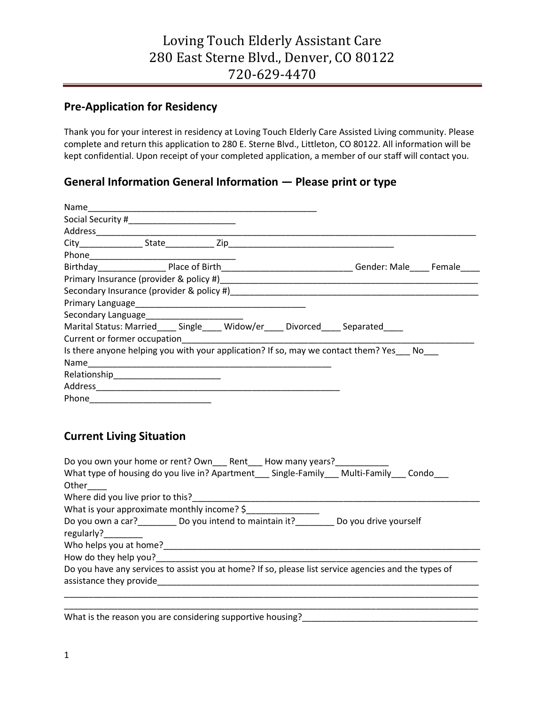### **Pre-Application for Residency**

Thank you for your interest in residency at Loving Touch Elderly Care Assisted Living community. Please complete and return this application to 280 E. Sterne Blvd., Littleton, CO 80122. All information will be kept confidential. Upon receipt of your completed application, a member of our staff will contact you.

#### **General Information General Information — Please print or type**

|                                              |  |  | Gender: Male Female                                                                   |  |
|----------------------------------------------|--|--|---------------------------------------------------------------------------------------|--|
|                                              |  |  |                                                                                       |  |
|                                              |  |  |                                                                                       |  |
|                                              |  |  |                                                                                       |  |
| Secondary Language__________________________ |  |  |                                                                                       |  |
|                                              |  |  | Marital Status: Married ____ Single ____ Widow/er ____ Divorced _____ Separated       |  |
|                                              |  |  |                                                                                       |  |
|                                              |  |  | Is there anyone helping you with your application? If so, may we contact them? Yes No |  |
|                                              |  |  |                                                                                       |  |
| Relationship<br>Fig. 2014                    |  |  |                                                                                       |  |
|                                              |  |  |                                                                                       |  |
|                                              |  |  |                                                                                       |  |

#### **Current Living Situation**

| Do you own your home or rent? Own Rent How many years?<br>What type of housing do you live in? Apartment Single-Family Multi-Family Condo<br>Other |
|----------------------------------------------------------------------------------------------------------------------------------------------------|
| Where did you live prior to this?                                                                                                                  |
| What is your approximate monthly income? $\frac{1}{2}$                                                                                             |
| Do you own a car?____________ Do you intend to maintain it?___________ Do you drive yourself<br>regularly?<br>Who helps you at home?______         |
| How do they help you?                                                                                                                              |
| Do you have any services to assist you at home? If so, please list service agencies and the types of<br>assistance they provide                    |
|                                                                                                                                                    |

What is the reason you are considering supportive housing?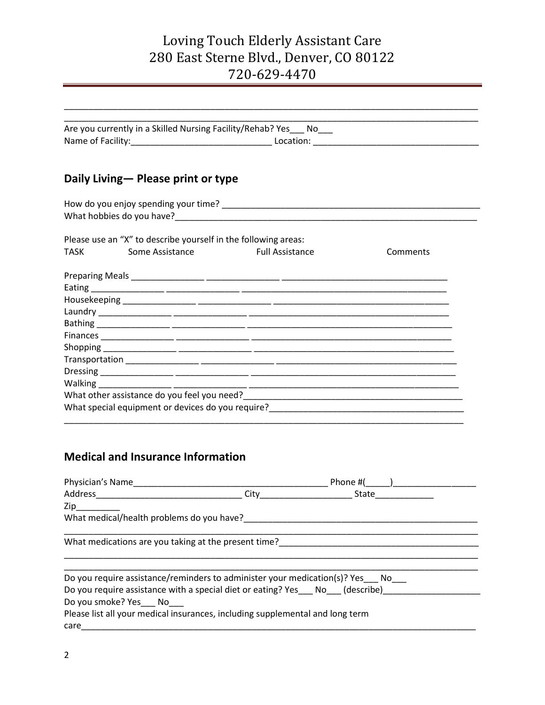|                                                                | Are you currently in a Skilled Nursing Facility/Rehab? Yes___ No___ |
|----------------------------------------------------------------|---------------------------------------------------------------------|
|                                                                |                                                                     |
| Daily Living – Please print or type                            |                                                                     |
|                                                                |                                                                     |
|                                                                |                                                                     |
| Please use an "X" to describe yourself in the following areas: |                                                                     |
| Some Assistance<br><b>TASK</b>                                 | <b>Eull Assistance</b><br>Comments                                  |
|                                                                |                                                                     |
|                                                                |                                                                     |
|                                                                |                                                                     |
|                                                                |                                                                     |
|                                                                |                                                                     |
|                                                                |                                                                     |
|                                                                |                                                                     |
|                                                                |                                                                     |
|                                                                |                                                                     |
|                                                                |                                                                     |
| Walking __________________                                     |                                                                     |

### **Medical and Insurance Information**

| Physician's Name                                                                                               | Phone $#($ $)$ |
|----------------------------------------------------------------------------------------------------------------|----------------|
|                                                                                                                | State          |
| Zip and the set of the set of the set of the set of the set of the set of the set of the set of the set of the |                |
| What medical/health problems do you have?                                                                      |                |
|                                                                                                                |                |
| What medications are you taking at the present time?                                                           |                |
|                                                                                                                |                |
| Do you require assistance/reminders to administer your medication(s)? Yes No                                   |                |
| Do you require assistance with a special diet or eating? Yes No (describe)                                     |                |
| Do you smoke? Yes No                                                                                           |                |
| Please list all your medical insurances, including supplemental and long term                                  |                |
| care                                                                                                           |                |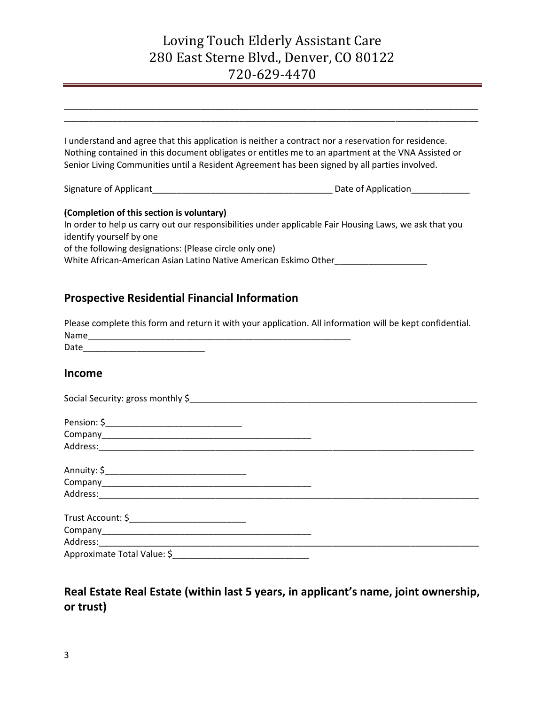| I understand and agree that this application is neither a contract nor a reservation for residence.<br>Nothing contained in this document obligates or entitles me to an apartment at the VNA Assisted or<br>Senior Living Communities until a Resident Agreement has been signed by all parties involved.     |  |
|----------------------------------------------------------------------------------------------------------------------------------------------------------------------------------------------------------------------------------------------------------------------------------------------------------------|--|
|                                                                                                                                                                                                                                                                                                                |  |
| (Completion of this section is voluntary)<br>In order to help us carry out our responsibilities under applicable Fair Housing Laws, we ask that you<br>identify yourself by one<br>of the following designations: (Please circle only one)<br>White African-American Asian Latino Native American Eskimo Other |  |
| <b>Prospective Residential Financial Information</b>                                                                                                                                                                                                                                                           |  |
| Please complete this form and return it with your application. All information will be kept confidential.                                                                                                                                                                                                      |  |
| Date                                                                                                                                                                                                                                                                                                           |  |

#### **Income**

| Social Security: gross monthly \$ |  |
|-----------------------------------|--|
|                                   |  |
|                                   |  |
|                                   |  |
|                                   |  |
|                                   |  |
|                                   |  |
|                                   |  |
|                                   |  |
|                                   |  |
| Approximate Total Value: \$       |  |

## **Real Estate Real Estate (within last 5 years, in applicant's name, joint ownership, or trust)**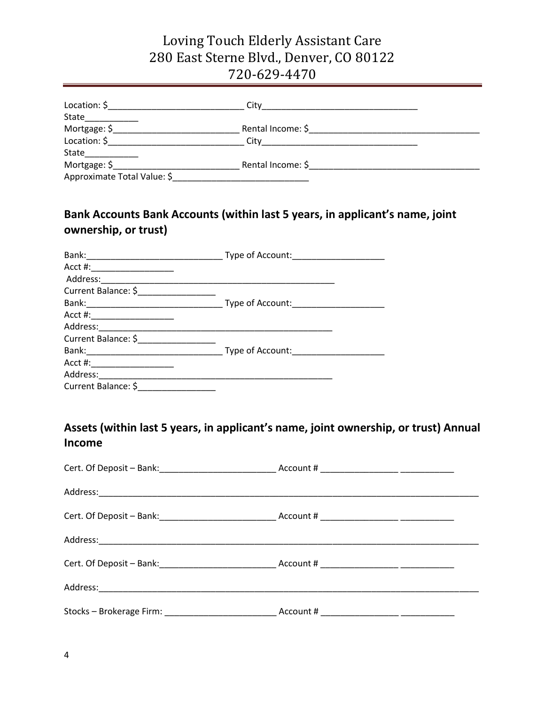|                             | City              |  |
|-----------------------------|-------------------|--|
| State____________           |                   |  |
| Mortgage: \$                |                   |  |
| Location: $\oint$           |                   |  |
| State_____________          |                   |  |
| Mortgage: \$                | Rental Income: \$ |  |
| Approximate Total Value: \$ |                   |  |

### **Bank Accounts Bank Accounts (within last 5 years, in applicant's name, joint ownership, or trust)**

| Bank: Type of Account:                                                                                                                                                                                                         |                  |
|--------------------------------------------------------------------------------------------------------------------------------------------------------------------------------------------------------------------------------|------------------|
|                                                                                                                                                                                                                                |                  |
| Address:                                                                                                                                                                                                                       |                  |
| Current Balance: \$                                                                                                                                                                                                            |                  |
| Bank: Bank: Bank: Expedition of Account:                                                                                                                                                                                       |                  |
| Acct #: _________________                                                                                                                                                                                                      |                  |
| Address: and the state of the state of the state of the state of the state of the state of the state of the state of the state of the state of the state of the state of the state of the state of the state of the state of t |                  |
| Current Balance: \$                                                                                                                                                                                                            |                  |
| Bank: 2008 - 2008 - 2010 - 2010 - 2010 - 2010 - 2010 - 2010 - 2010 - 2010 - 2010 - 2010 - 2010 - 2010 - 2010 -                                                                                                                 | Type of Account: |
| Acct #: _____________________                                                                                                                                                                                                  |                  |
| Address:                                                                                                                                                                                                                       |                  |
| Current Balance: \$                                                                                                                                                                                                            |                  |

### **Assets (within last 5 years, in applicant's name, joint ownership, or trust) Annual Income**